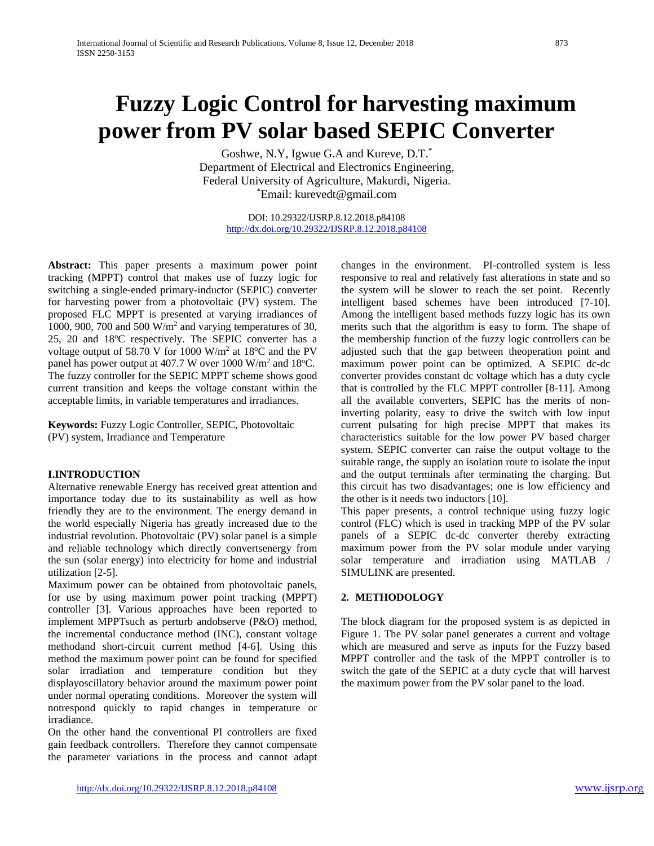# **Fuzzy Logic Control for harvesting maximum power from PV solar based SEPIC Converter**

Goshwe, N.Y, Igwue G.A and Kureve, D.T.\* Department of Electrical and Electronics Engineering, Federal University of Agriculture, Makurdi, Nigeria. \* Email: kurevedt@gmail.com

> DOI: 10.29322/IJSRP.8.12.2018.p84108 <http://dx.doi.org/10.29322/IJSRP.8.12.2018.p84108>

**Abstract:** This paper presents a maximum power point tracking (MPPT) control that makes use of fuzzy logic for switching a single-ended primary-inductor (SEPIC) converter for harvesting power from a photovoltaic (PV) system. The proposed FLC MPPT is presented at varying irradiances of 1000, 900, 700 and 500 W/m2 and varying temperatures of 30, 25, 20 and 18°C respectively. The SEPIC converter has a voltage output of 58.70 V for 1000  $W/m^2$  at 18°C and the PV panel has power output at 407.7 W over  $1000 \text{ W/m}^2$  and  $18^{\circ}$ C. The fuzzy controller for the SEPIC MPPT scheme shows good current transition and keeps the voltage constant within the acceptable limits, in variable temperatures and irradiances.

**Keywords:** Fuzzy Logic Controller, SEPIC, Photovoltaic (PV) system, Irradiance and Temperature

## **I.INTRODUCTION**

Alternative renewable Energy has received great attention and importance today due to its sustainability as well as how friendly they are to the environment. The energy demand in the world especially Nigeria has greatly increased due to the industrial revolution. Photovoltaic (PV) solar panel is a simple and reliable technology which directly convertsenergy from the sun (solar energy) into electricity for home and industrial utilization [2-5].

Maximum power can be obtained from photovoltaic panels, for use by using maximum power point tracking (MPPT) controller [3]. Various approaches have been reported to implement MPPTsuch as perturb andobserve (P&O) method, the incremental conductance method (INC), constant voltage methodand short-circuit current method [4-6]. Using this method the maximum power point can be found for specified solar irradiation and temperature condition but they displayoscillatory behavior around the maximum power point under normal operating conditions. Moreover the system will notrespond quickly to rapid changes in temperature or irradiance.

On the other hand the conventional PI controllers are fixed gain feedback controllers. Therefore they cannot compensate the parameter variations in the process and cannot adapt

changes in the environment. PI-controlled system is less responsive to real and relatively fast alterations in state and so the system will be slower to reach the set point. Recently intelligent based schemes have been introduced [7-10]. Among the intelligent based methods fuzzy logic has its own merits such that the algorithm is easy to form. The shape of the membership function of the fuzzy logic controllers can be adjusted such that the gap between theoperation point and maximum power point can be optimized. A SEPIC dc-dc converter provides constant dc voltage which has a duty cycle that is controlled by the FLC MPPT controller [8-11]. Among all the available converters, SEPIC has the merits of noninverting polarity, easy to drive the switch with low input current pulsating for high precise MPPT that makes its characteristics suitable for the low power PV based charger system. SEPIC converter can raise the output voltage to the suitable range, the supply an isolation route to isolate the input and the output terminals after terminating the charging. But this circuit has two disadvantages; one is low efficiency and the other is it needs two inductors [10].

This paper presents, a control technique using fuzzy logic control (FLC) which is used in tracking MPP of the PV solar panels of a SEPIC dc-dc converter thereby extracting maximum power from the PV solar module under varying solar temperature and irradiation using MATLAB / SIMULINK are presented.

# **2. METHODOLOGY**

The block diagram for the proposed system is as depicted in Figure 1. The PV solar panel generates a current and voltage which are measured and serve as inputs for the Fuzzy based MPPT controller and the task of the MPPT controller is to switch the gate of the SEPIC at a duty cycle that will harvest the maximum power from the PV solar panel to the load.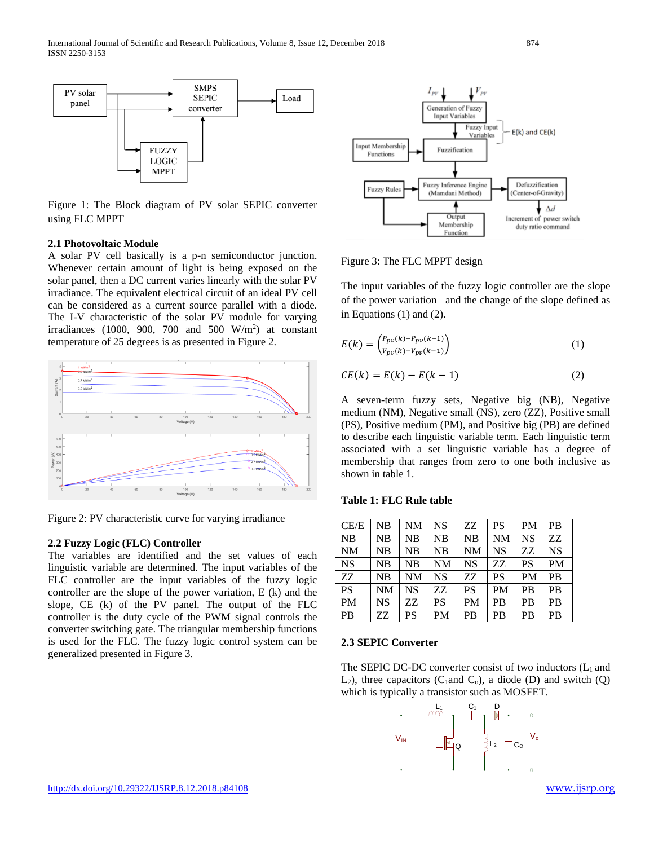

Figure 1: The Block diagram of PV solar SEPIC converter using FLC MPPT

## **2.1 Photovoltaic Module**

A solar PV cell basically is a p-n semiconductor junction. Whenever certain amount of light is being exposed on the solar panel, then a DC current varies linearly with the solar PV irradiance. The equivalent electrical circuit of an ideal PV cell can be considered as a current source parallel with a diode. The I-V characteristic of the solar PV module for varying irradiances (1000, 900, 700 and 500  $W/m<sup>2</sup>$ ) at constant temperature of 25 degrees is as presented in Figure 2.



Figure 2: PV characteristic curve for varying irradiance

#### **2***.***2 Fuzzy Logic (FLC) Controller**

The variables are identified and the set values of each linguistic variable are determined. The input variables of the FLC controller are the input variables of the fuzzy logic controller are the slope of the power variation, E (k) and the slope, CE (k) of the PV panel. The output of the FLC controller is the duty cycle of the PWM signal controls the converter switching gate. The triangular membership functions is used for the FLC. The fuzzy logic control system can be generalized presented in Figure 3.



Figure 3: The FLC MPPT design

The input variables of the fuzzy logic controller are the slope of the power variation and the change of the slope defined as in Equations (1) and (2).

$$
E(k) = \left(\frac{P_{pv}(k) - P_{pv}(k-1)}{V_{pv}(k) - V_{pv}(k-1)}\right)
$$
 (1)

$$
CE(k) = E(k) - E(k-1) \tag{2}
$$

A seven-term fuzzy sets, Negative big (NB), Negative medium (NM), Negative small (NS), zero (ZZ), Positive small (PS), Positive medium (PM), and Positive big (PB) are defined to describe each linguistic variable term. Each linguistic term associated with a set linguistic variable has a degree of membership that ranges from zero to one both inclusive as shown in table 1.

## **Table 1: FLC Rule table**

| CE/E      | NB        | <b>NM</b> | <b>NS</b> | ZZ.       | <b>PS</b> | <b>PM</b> | <b>PB</b> |
|-----------|-----------|-----------|-----------|-----------|-----------|-----------|-----------|
| <b>NB</b> | NB        | NB        | NB        | NB        | <b>NM</b> | <b>NS</b> | ZZ        |
| <b>NM</b> | NB        | NB        | NB        | <b>NM</b> | <b>NS</b> | ZZ        | <b>NS</b> |
| <b>NS</b> | <b>NB</b> | <b>NB</b> | <b>NM</b> | <b>NS</b> | ZZ        | <b>PS</b> | <b>PM</b> |
| ZZ        | NB        | <b>NM</b> | <b>NS</b> | ZZ        | <b>PS</b> | <b>PM</b> | <b>PB</b> |
| <b>PS</b> | <b>NM</b> | <b>NS</b> | ZZ.       | <b>PS</b> | <b>PM</b> | <b>PB</b> | <b>PB</b> |
| <b>PM</b> | <b>NS</b> | ZZ.       | <b>PS</b> | <b>PM</b> | <b>PB</b> | PB        | PB        |
| <b>PB</b> | ZZ        | PS        | <b>PM</b> | <b>PB</b> | <b>PB</b> | <b>PB</b> | <b>PB</b> |

#### **2.3 SEPIC Converter**

The SEPIC DC-DC converter consist of two inductors  $(L_1$  and  $L_2$ ), three capacitors (C<sub>1</sub>and C<sub>0</sub>), a diode (D) and switch (Q) which is typically a transistor such as MOSFET.

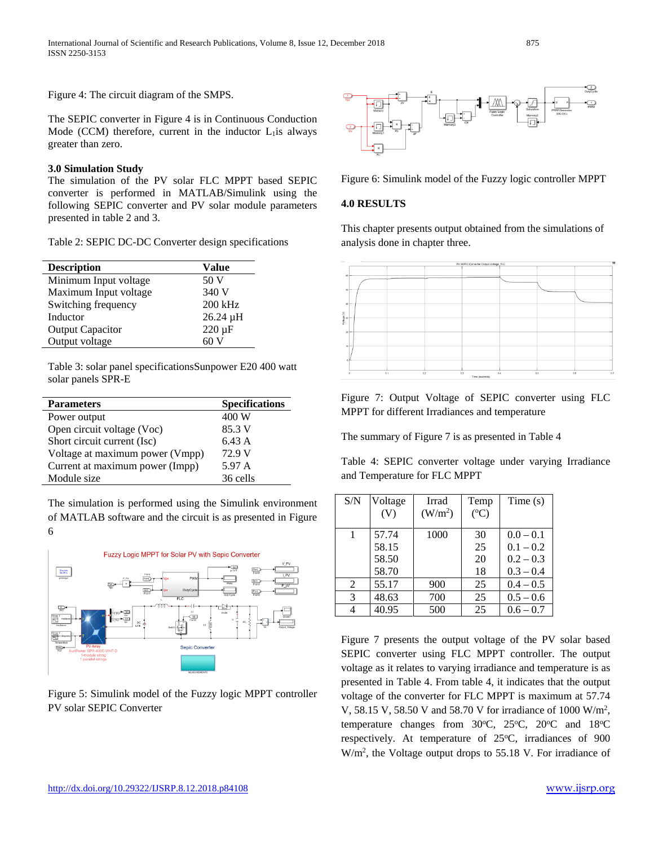International Journal of Scientific and Research Publications, Volume 8, Issue 12, December 2018 875 ISSN 2250-3153

Figure 4: The circuit diagram of the SMPS.

The SEPIC converter in Figure 4 is in Continuous Conduction Mode (CCM) therefore, current in the inductor  $L_1$  is always greater than zero.

### **3.0 Simulation Study**

The simulation of the PV solar FLC MPPT based SEPIC converter is performed in MATLAB/Simulink using the following SEPIC converter and PV solar module parameters presented in table 2 and 3.

Table 2: SEPIC DC-DC Converter design specifications

| Value         |  |  |
|---------------|--|--|
| 50 V          |  |  |
| 340 V         |  |  |
| 200 kHz       |  |  |
| 26.24 µH      |  |  |
| $220 \,\mu F$ |  |  |
| 60 V          |  |  |
|               |  |  |

Table 3: solar panel specificationsSunpower E20 400 watt solar panels SPR-E

| <b>Parameters</b>               | <b>Specifications</b> |
|---------------------------------|-----------------------|
| Power output                    | 400 W                 |
| Open circuit voltage (Voc)      | 85.3 V                |
| Short circuit current (Isc)     | 6.43 A                |
| Voltage at maximum power (Vmpp) | 72.9 V                |
| Current at maximum power (Impp) | 5.97 A                |
| Module size                     | 36 cells              |

The simulation is performed using the Simulink environment of MATLAB software and the circuit is as presented in Figure 6



Figure 5: Simulink model of the Fuzzy logic MPPT controller PV solar SEPIC Converter



Figure 6: Simulink model of the Fuzzy logic controller MPPT

## **4.0 RESULTS**

This chapter presents output obtained from the simulations of analysis done in chapter three.



Figure 7: Output Voltage of SEPIC converter using FLC MPPT for different Irradiances and temperature

The summary of Figure 7 is as presented in Table 4

Table 4: SEPIC converter voltage under varying Irradiance and Temperature for FLC MPPT

| S/N | Voltage<br>(V) | Irrad<br>(W/m <sup>2</sup> ) | Temp<br>$({}^oC)$ | Time(s)     |
|-----|----------------|------------------------------|-------------------|-------------|
| 1   | 57.74          | 1000                         | 30                | $0.0 - 0.1$ |
|     | 58.15          |                              | 25                | $0.1 - 0.2$ |
|     | 58.50          |                              | 20                | $0.2 - 0.3$ |
|     | 58.70          |                              | 18                | $0.3 - 0.4$ |
| 2   | 55.17          | 900                          | 25                | $0.4 - 0.5$ |
| 3   | 48.63          | 700                          | 25                | $0.5 - 0.6$ |
|     | 40.95          | 500                          | 25                | $0.6 - 0.7$ |

Figure 7 presents the output voltage of the PV solar based SEPIC converter using FLC MPPT controller. The output voltage as it relates to varying irradiance and temperature is as presented in Table 4. From table 4, it indicates that the output voltage of the converter for FLC MPPT is maximum at 57.74 V, 58.15 V, 58.50 V and 58.70 V for irradiance of 1000 W/m2 , temperature changes from  $30^{\circ}$ C,  $25^{\circ}$ C,  $20^{\circ}$ C and  $18^{\circ}$ C respectively. At temperature of 25°C, irradiances of 900 W/m<sup>2</sup>, the Voltage output drops to 55.18 V. For irradiance of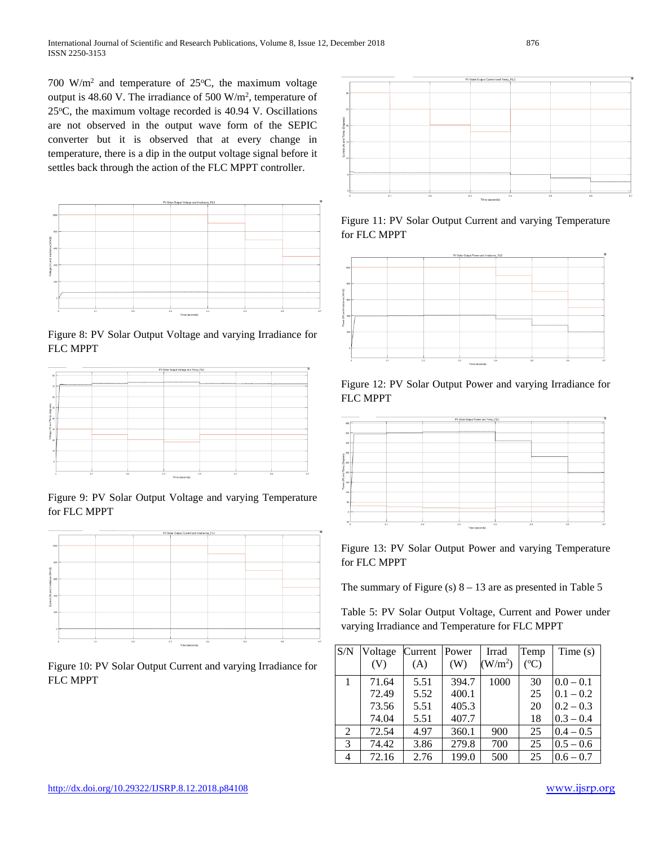700 W/m<sup>2</sup> and temperature of 25 $^{\circ}$ C, the maximum voltage output is 48.60 V. The irradiance of 500  $W/m^2$ , temperature of 25°C, the maximum voltage recorded is 40.94 V. Oscillations are not observed in the output wave form of the SEPIC converter but it is observed that at every change in temperature, there is a dip in the output voltage signal before it settles back through the action of the FLC MPPT controller.



Figure 8: PV Solar Output Voltage and varying Irradiance for FLC MPPT



Figure 9: PV Solar Output Voltage and varying Temperature for FLC MPPT



Figure 10: PV Solar Output Current and varying Irradiance for FLC MPPT



Figure 11: PV Solar Output Current and varying Temperature for FLC MPPT







Figure 13: PV Solar Output Power and varying Temperature for FLC MPPT

The summary of Figure (s)  $8 - 13$  are as presented in Table 5

Table 5: PV Solar Output Voltage, Current and Power under varying Irradiance and Temperature for FLC MPPT

| S/N | Voltage | Current | Power | Irrad               | Temp      | Time $(s)$  |
|-----|---------|---------|-------|---------------------|-----------|-------------|
|     | (V)     | (A)     | (W)   | (W/m <sup>2</sup> ) | $({}^oC)$ |             |
|     | 71.64   | 5.51    | 394.7 | 1000                | 30        | $0.0 - 0.1$ |
|     | 72.49   | 5.52    | 400.1 |                     | 25        | $0.1 - 0.2$ |
|     | 73.56   | 5.51    | 405.3 |                     | 20        | $0.2 - 0.3$ |
|     | 74.04   | 5.51    | 407.7 |                     | 18        | $0.3 - 0.4$ |
| 2   | 72.54   | 4.97    | 360.1 | 900                 | 25        | $0.4 - 0.5$ |
| 3   | 74.42   | 3.86    | 279.8 | 700                 | 25        | $0.5 - 0.6$ |
| 4   | 72.16   | 2.76    | 199.0 | 500                 | 25        | $0.6 - 0.7$ |